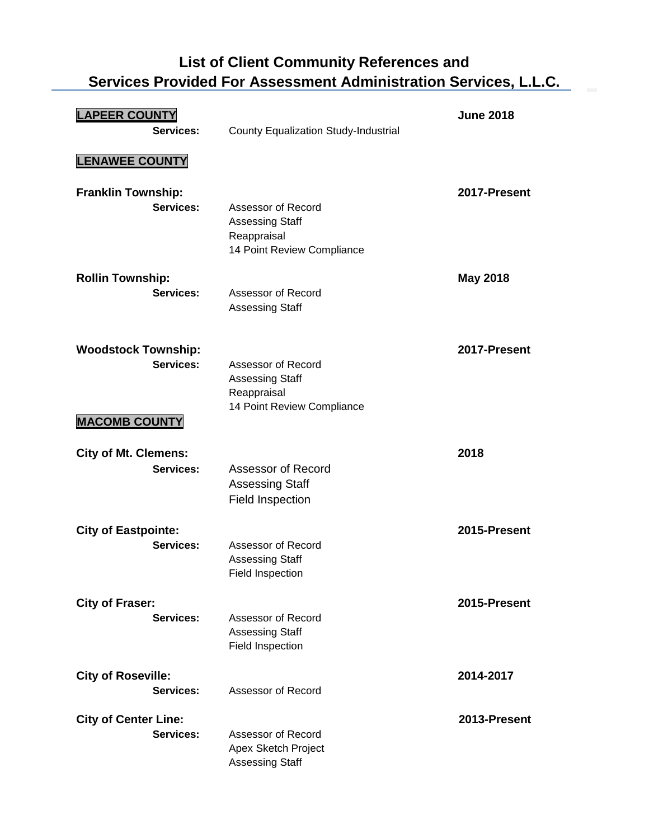## **List of Client Community References and Services Provided For Assessment Administration Services, L.L.C.**

| <b>LAPEER COUNTY</b><br>Services:                               | County Equalization Study-Industrial                                                      | <b>June 2018</b> |
|-----------------------------------------------------------------|-------------------------------------------------------------------------------------------|------------------|
| <b>LENAWEE COUNTY</b>                                           |                                                                                           |                  |
| <b>Franklin Township:</b><br>Services:                          | Assessor of Record<br><b>Assessing Staff</b><br>Reappraisal<br>14 Point Review Compliance | 2017-Present     |
| <b>Rollin Township:</b><br>Services:                            | Assessor of Record<br><b>Assessing Staff</b>                                              | <b>May 2018</b>  |
| <b>Woodstock Township:</b><br>Services:<br><b>MACOMB COUNTY</b> | Assessor of Record<br><b>Assessing Staff</b><br>Reappraisal<br>14 Point Review Compliance | 2017-Present     |
| <b>City of Mt. Clemens:</b><br>Services:                        | Assessor of Record<br><b>Assessing Staff</b><br><b>Field Inspection</b>                   | 2018             |
|                                                                 |                                                                                           |                  |
| <b>City of Eastpointe:</b><br>Services:                         | Assessor of Record<br><b>Assessing Staff</b><br>Field Inspection                          | 2015-Present     |
| <b>City of Fraser:</b><br>Services:                             | Assessor of Record<br><b>Assessing Staff</b><br>Field Inspection                          | 2015-Present     |
| <b>City of Roseville:</b><br>Services:                          | Assessor of Record                                                                        | 2014-2017        |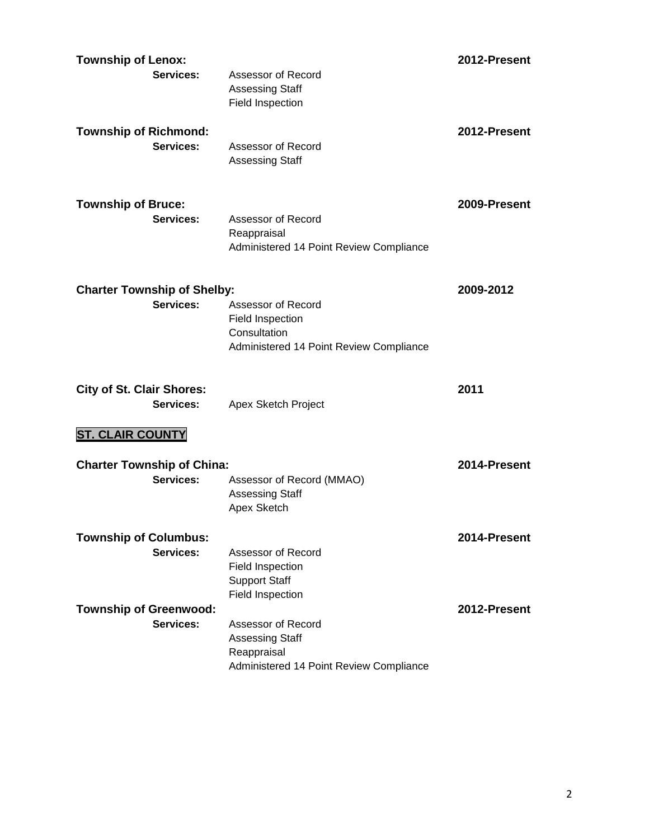| <b>Township of Lenox:</b>                 |                                                         | 2012-Present |
|-------------------------------------------|---------------------------------------------------------|--------------|
| Services:                                 | Assessor of Record                                      |              |
|                                           | <b>Assessing Staff</b>                                  |              |
|                                           | Field Inspection                                        |              |
| <b>Township of Richmond:</b>              |                                                         | 2012-Present |
| Services:                                 | Assessor of Record                                      |              |
|                                           | <b>Assessing Staff</b>                                  |              |
|                                           |                                                         |              |
|                                           |                                                         |              |
| <b>Township of Bruce:</b>                 |                                                         | 2009-Present |
| Services:                                 | Assessor of Record                                      |              |
|                                           | Reappraisal<br>Administered 14 Point Review Compliance  |              |
|                                           |                                                         |              |
|                                           |                                                         |              |
| <b>Charter Township of Shelby:</b>        |                                                         | 2009-2012    |
| Services:                                 | Assessor of Record                                      |              |
|                                           | <b>Field Inspection</b>                                 |              |
|                                           | Consultation<br>Administered 14 Point Review Compliance |              |
|                                           |                                                         |              |
|                                           |                                                         |              |
|                                           |                                                         |              |
| <b>City of St. Clair Shores:</b>          |                                                         | 2011         |
| Services:                                 | Apex Sketch Project                                     |              |
|                                           |                                                         |              |
| <b>ST. CLAIR COUNTY</b>                   |                                                         |              |
| <b>Charter Township of China:</b>         |                                                         | 2014-Present |
| Services:                                 | Assessor of Record (MMAO)                               |              |
|                                           | <b>Assessing Staff</b>                                  |              |
|                                           | Apex Sketch                                             |              |
|                                           |                                                         | 2014-Present |
| <b>Township of Columbus:</b><br>Services: | Assessor of Record                                      |              |
|                                           | Field Inspection                                        |              |
|                                           | <b>Support Staff</b>                                    |              |
|                                           | Field Inspection                                        |              |
| <b>Township of Greenwood:</b>             |                                                         | 2012-Present |
| Services:                                 | Assessor of Record                                      |              |
|                                           | <b>Assessing Staff</b>                                  |              |
|                                           | Reappraisal<br>Administered 14 Point Review Compliance  |              |